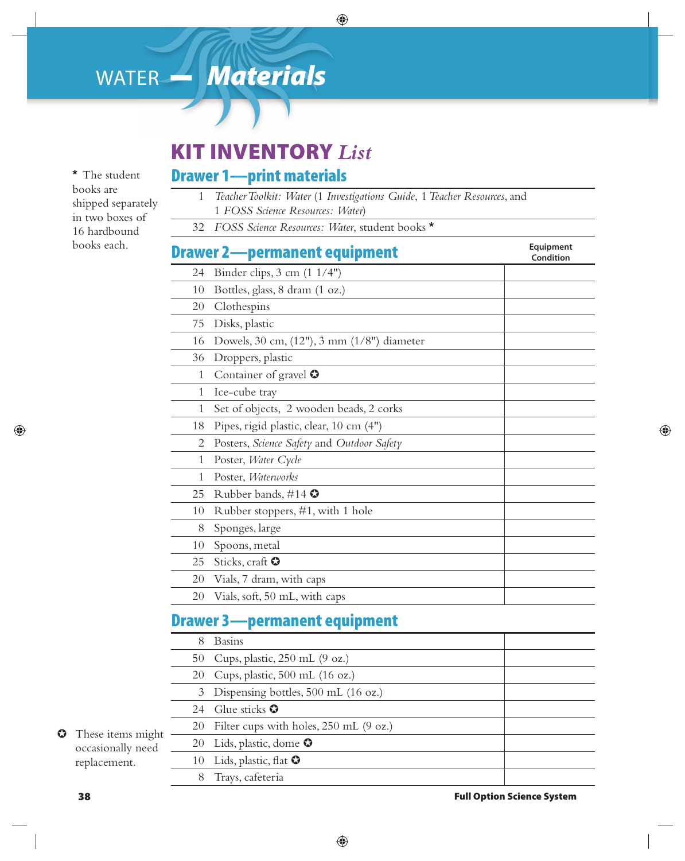# WATER **–** *Materials*

**\*** The student books are shipped separately in two boxes of 16 hardbound books each.

## **KIT INVENTORY** *List*

#### **Drawer 1—print materials**

- 1 *Teacher Toolkit: Water* (1 *Investigations Guide*, 1 *Teacher Resources*, and 1 *FOSS Science Resources: Water*)
- 32 *FOSS Science Resources: Water*, student books **\***

| <b>Drawer 2-permanent equipment</b> | Equipment<br>Condition                       |  |
|-------------------------------------|----------------------------------------------|--|
| 24                                  | Binder clips, $3 \text{ cm} (1 \frac{1}{4})$ |  |
| 10                                  | Bottles, glass, 8 dram (1 oz.)               |  |
| 20                                  | Clothespins                                  |  |
| 75                                  | Disks, plastic                               |  |
| 16                                  | Dowels, 30 cm, (12"), 3 mm (1/8") diameter   |  |
| 36                                  | Droppers, plastic                            |  |
| $\mathbf{1}$                        | Container of gravel $\Omega$                 |  |
| 1                                   | Ice-cube tray                                |  |
| 1                                   | Set of objects, 2 wooden beads, 2 corks      |  |
| 18                                  | Pipes, rigid plastic, clear, 10 cm (4")      |  |
| 2                                   | Posters, Science Safety and Outdoor Safety   |  |
| 1                                   | Poster, Water Cycle                          |  |
| 1                                   | Poster, Waterworks                           |  |
| 25                                  | Rubber bands, #14 $\bullet$                  |  |
| 10                                  | Rubber stoppers, #1, with 1 hole             |  |
| 8                                   | Sponges, large                               |  |
| 10                                  | Spoons, metal                                |  |
| 25                                  | Sticks, craft $\bullet$                      |  |
| 20                                  | Vials, 7 dram, with caps                     |  |
| 20                                  | Vials, soft, 50 mL, with caps                |  |

### **Drawer 3—permanent equipment**

| ht<br>d | 8  | <b>Basins</b>                             |  |
|---------|----|-------------------------------------------|--|
|         | 50 | Cups, plastic, $250$ mL $(9 \text{ oz.})$ |  |
|         | 20 | Cups, plastic, $500$ mL (16 oz.)          |  |
|         |    | 3 Dispensing bottles, 500 mL (16 oz.)     |  |
|         | 24 | Glue sticks $\bullet$                     |  |
|         |    | 20 Filter cups with holes, 250 mL (9 oz.) |  |
|         |    | 20 Lids, plastic, dome $\bullet$          |  |
|         |    | 10 Lids, plastic, flat $\bullet$          |  |
|         |    | Trays, cafeteria                          |  |

 $\bullet$  These items might occasionally need replacement.